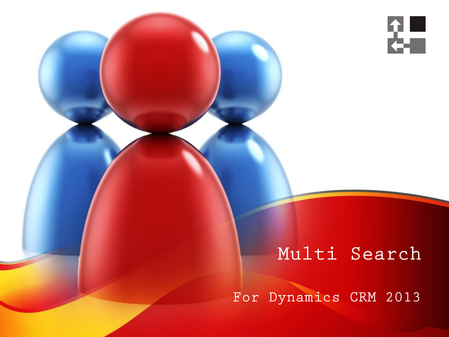

### Multi Search

For Dynamics CRM 2013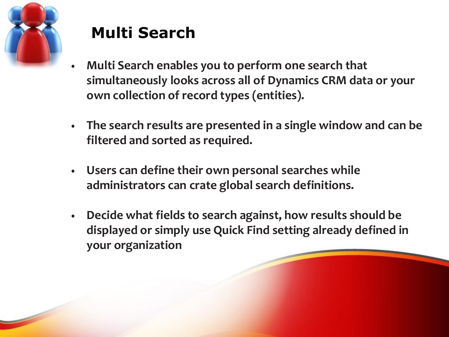

## **Multi Search**

- **Multi Search enables you to perform one search that simultaneously looks across all of Dynamics CRM data or your own collection of record types (entities).**
- **The search results are presented in a single window and can be filtered and sorted as required.**
- **Users can define their own personal searches while administrators can crate global search definitions.**
- **Decide what fields to search against, how results should be displayed or simply use Quick Find setting already defined in your organization**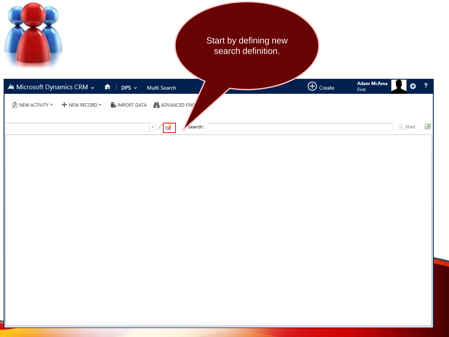|                                                                                                                | Start by defining new<br>search definition.    |
|----------------------------------------------------------------------------------------------------------------|------------------------------------------------|
| Mu Microsoft Dynamics CRM ~<br>$\bigcap$   DPS $\vee$<br>Multi Search                                          | Adam McAma<br>$\bigoplus$ Create<br>۰<br>First |
| ADVANCED FINT<br>$\hat{Z}$ NEW ACTIVITY $\star$<br>$\mathbb{F}_{\mathbf{P}}$ import data<br>$+$ NEW RECORD $-$ |                                                |
| Search:<br>$ \cdot $<br>E                                                                                      | $\subseteq$ Start<br>國                         |
|                                                                                                                |                                                |
|                                                                                                                |                                                |
|                                                                                                                |                                                |
|                                                                                                                |                                                |
|                                                                                                                |                                                |
|                                                                                                                |                                                |
|                                                                                                                |                                                |
|                                                                                                                |                                                |
|                                                                                                                |                                                |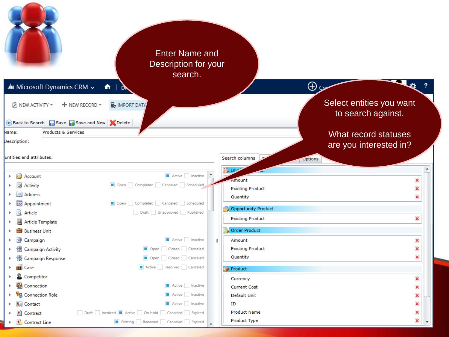| Au Microsoft Dynamics CRM ~                               | <b>Enter Name and</b><br>Description for your<br>search.<br>$\hat{\mathbf{n}}$<br>DN      |                                                        | $\bigoplus$ co                                 |  |
|-----------------------------------------------------------|-------------------------------------------------------------------------------------------|--------------------------------------------------------|------------------------------------------------|--|
| D NEW ACTIVITY ▼                                          | <b>MPORT DATA</b><br>$+$ NEW RECORD $\overline{\phantom{a}}$                              |                                                        | Select entities you want<br>to search against. |  |
| Back to Search <b>B</b> Save Save and New <b>X</b> Delete |                                                                                           |                                                        |                                                |  |
| Products & Services<br>Name:<br>Description:              |                                                                                           |                                                        | What record statuses<br>are you interested in? |  |
| <b>Entities and attributes:</b>                           |                                                                                           | Search columns                                         | Options                                        |  |
| Account<br>Activity<br>Address<br><b>EG</b> Appointment   | Active Inactive<br>Open Completed Canceled Scheduled<br>Open Completed Canceled Scheduled | a Inv<br>Amount<br><b>Existing Product</b><br>Quantity | ×<br>×<br>×                                    |  |
| Article                                                   | Draft Unapproved Published                                                                | Opportunity Product                                    |                                                |  |
| Article Template                                          |                                                                                           | <b>Existing Product</b>                                | ×                                              |  |
| <b>Business Unit</b>                                      |                                                                                           | Order Product                                          |                                                |  |
| Campaign<br>Campaign Activity                             | Active   Inactive<br>Open Closed Canceled                                                 | -III<br>Amount<br><b>Existing Product</b>              | ×<br>×                                         |  |
| Campaign Response                                         | Open Closed Canceled                                                                      | Quantity                                               | ×                                              |  |
| <b>B</b> Case                                             | Active Resolved Canceled                                                                  | Product                                                |                                                |  |
| Competitor                                                |                                                                                           | Currency                                               | ×                                              |  |
| <b>图</b> Connection                                       | Active Inactive                                                                           | <b>Current Cost</b>                                    | ×                                              |  |
| <b>S</b> Connection Role                                  | Active Inactive                                                                           | Default Unit                                           | ×                                              |  |
| 图 Contact                                                 | Active Inactive                                                                           | ID                                                     | ×                                              |  |
| <b>t</b> Contract                                         | Draft   Invoiced   Active   On Hold   Canceled   Expired                                  | <b>Product Name</b>                                    | ×                                              |  |
| Contract Line                                             | Existing Renewed Canceled Expired                                                         | Product Type                                           | ×                                              |  |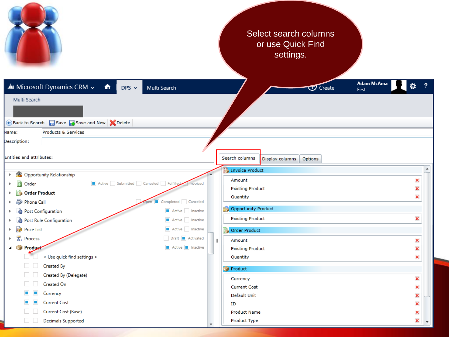|                                                                                                                                           |                                                                                          | Select search columns<br>or use Quick Find<br>settings.                                 |             |                  |
|-------------------------------------------------------------------------------------------------------------------------------------------|------------------------------------------------------------------------------------------|-----------------------------------------------------------------------------------------|-------------|------------------|
| Au Microsoft Dynamics CRM ~<br>奇<br>$DPS \sim$<br>Multi Search                                                                            | Multi Search                                                                             | Adam McAma<br>$\sigma$ Create<br>First                                                  |             |                  |
| Back to Search <b>F</b> Save <b>B</b> Save and New <b>X</b> Delete<br>Name:<br><b>Products &amp; Services</b><br>Description:             |                                                                                          |                                                                                         |             |                  |
| Entities and attributes:                                                                                                                  |                                                                                          | Search columns<br>Display columns<br><b>Options</b>                                     |             |                  |
| Opportunity Relationship<br>У.<br>Þ.<br>Active Submitted Canceled Fulfilled<br>Order<br>Order Product<br>Phone Call<br>Post Configuration | Invoiced<br>Completed Canceled<br>Active Inactive                                        | Invoice Product<br>Amount<br><b>Existing Product</b><br>Quantity<br>Opportunity Product | ×<br>×<br>× | $\blacktriangle$ |
| Post Rule Configuration<br>Price List<br><sub>B</sub> , Process<br>Product <sup>-</sup>                                                   | Active Inactive<br>Active Inactive<br>Draft <b>Activated</b><br>Active <b>I</b> Inactive | <b>Existing Product</b><br><b>Drder Product</b><br>Amount                               | ×<br>×      |                  |
| < Use quick find settings ><br>Created By<br>Created By (Delegate)                                                                        |                                                                                          | <b>Existing Product</b><br>Quantity<br>Product<br>Currency                              | ×<br>×<br>× |                  |
| Created On<br>Currency<br><b>Current Cost</b><br>Current Cost (Base)                                                                      |                                                                                          | <b>Current Cost</b><br>Default Unit<br>ID                                               | ×<br>×<br>× |                  |
| $\sim$<br>Decimals Supported                                                                                                              |                                                                                          | <b>Product Name</b><br>Product Type                                                     | ×<br>×      |                  |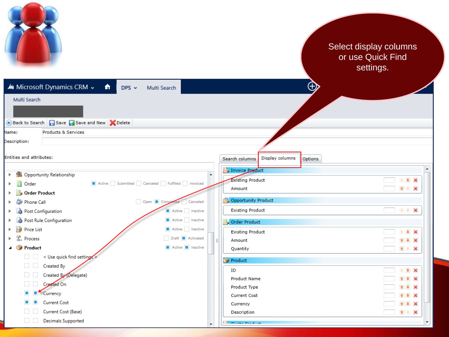|                                                                |                  |                               |                 |             | Select display columns<br>or use Quick Find<br>settings. |                                        |  |
|----------------------------------------------------------------|------------------|-------------------------------|-----------------|-------------|----------------------------------------------------------|----------------------------------------|--|
| Mu Microsoft Dynamics CRM v<br>奇<br>$DPS \sim$<br>Multi Search |                  |                               |                 | $\bigoplus$ |                                                          |                                        |  |
| Multi Search                                                   |                  |                               |                 |             |                                                          |                                        |  |
|                                                                |                  |                               |                 |             |                                                          |                                        |  |
| Save Save and New A Delete<br>← Back to Search                 |                  |                               |                 |             |                                                          |                                        |  |
| Products & Services<br>Vame:                                   |                  |                               |                 |             |                                                          |                                        |  |
| Description:                                                   |                  |                               |                 |             |                                                          |                                        |  |
| <b>Entities and attributes:</b>                                |                  |                               |                 |             |                                                          |                                        |  |
|                                                                |                  | Search columns                | Display columns | Options     |                                                          |                                        |  |
| Opportunity Relationship<br>ada.                               | $\blacktriangle$ | Invoice Preduct               |                 |             |                                                          |                                        |  |
| Active Submitted Canceled Fulfilled Invoiced<br>Order          |                  | <b>Existing Product</b>       |                 |             |                                                          | <b>1 + X</b>                           |  |
| <b>Order Product</b>                                           |                  | Amount                        |                 |             |                                                          | 全步<br>$\boldsymbol{\times}$            |  |
| Open Completed Canceled<br>Ø.<br>Phone Call                    |                  | Opportunity Product           |                 |             |                                                          |                                        |  |
| Active   Inactive<br>Post Configuration                        |                  | <b>Existing Product</b>       |                 |             |                                                          |                                        |  |
| Active Inactive<br>Post Rule Configuration<br>Lò.              |                  | Order Product                 |                 |             |                                                          |                                        |  |
| Active Inactive<br>Price List                                  |                  | <b>Existing Product</b>       |                 |             |                                                          | $\rightarrow$<br>$\boldsymbol{\times}$ |  |
| 궃<br>Draft <b>B</b> Activated<br>Process                       |                  | Amount                        |                 |             |                                                          | $\bullet$<br>$\boldsymbol{\times}$     |  |
| Active <b>Inactive</b><br><b>Product</b>                       |                  | Quantity                      |                 |             |                                                          | $2 + X$                                |  |
| < Use quick find settings ><br><b>Contract</b>                 |                  | Product                       |                 |             |                                                          |                                        |  |
| Created By                                                     |                  | ID                            |                 |             |                                                          | $\rightarrow$<br>$\boldsymbol{\times}$ |  |
| Created By (Delegate)                                          |                  | <b>Product Name</b>           |                 |             |                                                          | 촣<br>$\ddot{\phantom{1}}$<br>×         |  |
| Created On                                                     |                  | Product Type                  |                 |             |                                                          | 音楽<br>×                                |  |
| Currency                                                       |                  | <b>Current Cost</b>           |                 |             |                                                          | 全事<br>$\boldsymbol{\times}$            |  |
| <b>Current Cost</b>                                            |                  | Currency                      |                 |             |                                                          | 全事<br>$\boldsymbol{\times}$            |  |
| Current Cost (Base)                                            |                  | Description                   |                 |             |                                                          | $+ 8$                                  |  |
| <b>Decimals Supported</b>                                      |                  | $\mathbb{R}^2$ output because |                 |             |                                                          |                                        |  |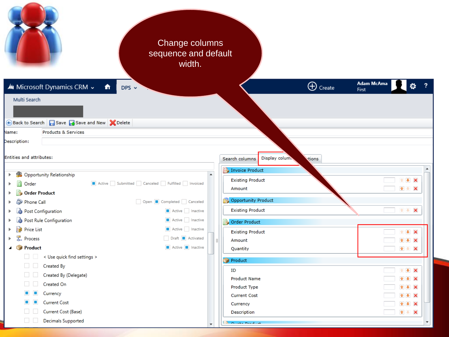| Change columns<br>sequence and default<br>width.                   |                  |                                           |                      |
|--------------------------------------------------------------------|------------------|-------------------------------------------|----------------------|
| Mu Microsoft Dynamics CRM v<br>奇<br>$DPS \sim$                     |                  | $\bigoplus$ Create                        | Adam McAma<br>First  |
| Multi Search                                                       |                  |                                           |                      |
|                                                                    |                  |                                           |                      |
| Back to Search <b>B</b> Save <b>B</b> Save and New <b>X</b> Delete |                  |                                           |                      |
| Name:<br><b>Products &amp; Services</b>                            |                  |                                           |                      |
| Description:                                                       |                  |                                           |                      |
|                                                                    |                  |                                           |                      |
| Entities and attributes:                                           |                  | Display colum.<br>Search columns<br>tions |                      |
| <b>State Opportunity Relationship</b><br>Þ.                        | $\blacktriangle$ | Invoice Product                           | $\blacktriangle$     |
| Active Submitted Canceled Fulfilled Invoiced<br>n<br>Order<br>Þ    |                  | <b>Existing Product</b>                   | $+ 1$                |
| <b>Order Product</b>                                               |                  | Amount                                    | $+$ $\times$         |
| Phone Call<br>Open Completed Canceled<br>ь                         |                  | Opportunity Product                       |                      |
| Post Configuration<br>Active Inactive<br>Þ                         |                  | <b>Existing Product</b>                   | $\pmb{\times}$<br>全步 |
| Post Rule Configuration<br>Active Inactive                         |                  | Order Product                             |                      |
| Price List<br>Active Inactive<br>뭏.<br>Draft <b>Activated</b>      |                  | <b>Existing Product</b>                   | 1 + X                |
| Process<br>Product<br>Active <b>I</b> Inactive<br>◢                |                  | Amount                                    | $+ 1$                |
| < Use quick find settings ><br>$\mathbb{R}^n$                      |                  | Quantity                                  | $+ 8$                |
| Created By                                                         |                  | Product                                   |                      |
| Created By (Delegate)                                              |                  | ID                                        | $+$ $+$ $\times$     |
| Created On                                                         |                  | <b>Product Name</b><br>Product Type       | ÷<br>×<br>$+ x$      |
| Currency                                                           |                  | <b>Current Cost</b>                       | $+ x$                |
| <b>Current Cost</b>                                                |                  | Currency                                  | $+$ $\times$         |
| Current Cost (Base)                                                |                  | Description                               | $+$ $\times$         |
| Decimals Supported                                                 |                  | <b>FRANCISCO PARADIGO</b>                 |                      |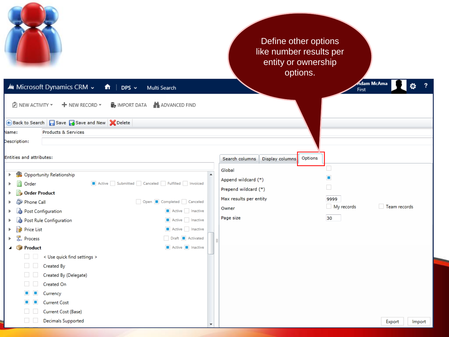

#### Define other options like number results per entity or ownership options.

|                          | Mu Microsoft Dynamics CRM v<br>$\hat{\mathsf{n}}$   DPS $\checkmark$<br>Multi Search |                        |                 |         | Adam McAma<br>First | $\ddot{\mathbf{Q}}$ |
|--------------------------|--------------------------------------------------------------------------------------|------------------------|-----------------|---------|---------------------|---------------------|
| D NEW ACTIVITY ▼         | ADVANCED FIND<br>$+$ NEW RECORD $\star$<br>$\mathbb{F}_{\mathbf{P}}$ import data     |                        |                 |         |                     |                     |
|                          | Back to Search <b>B</b> Save Save and New <b>C</b> Delete                            |                        |                 |         |                     |                     |
| Name:                    | Products & Services                                                                  |                        |                 |         |                     |                     |
| Description:             |                                                                                      |                        |                 |         |                     |                     |
| Entities and attributes: |                                                                                      | Search columns         | Display columns | Options |                     |                     |
| <b>College</b><br>▶.     | Opportunity Relationship                                                             | Global                 |                 |         |                     |                     |
| Order                    | Active Submitted Canceled Fulfilled Invoiced                                         | Append wildcard (*)    |                 |         | Ξ                   |                     |
| <b>Order Product</b>     |                                                                                      | Prepend wildcard (*)   |                 |         | $\Box$              |                     |
| ಖ<br>Phone Call          | Open Completed Canceled                                                              | Max results per entity |                 |         | 9999                |                     |
| Post Configuration       | Active Inactive                                                                      | Owner                  |                 |         | My records          | Team records        |
|                          | Active Inactive<br>Post Rule Configuration                                           | Page size              |                 |         | 30                  |                     |
| Price List               | Active Inactive                                                                      |                        |                 |         |                     |                     |
| ₹.<br>Process            | Draft <b>B</b> Activated                                                             |                        |                 |         |                     |                     |
| 4 Product                | Active <b>I</b> Inactive                                                             |                        |                 |         |                     |                     |
| <b>Contract</b>          | < Use quick find settings >                                                          |                        |                 |         |                     |                     |
|                          | Created By                                                                           |                        |                 |         |                     |                     |
|                          | Created By (Delegate)                                                                |                        |                 |         |                     |                     |
|                          | Created On                                                                           |                        |                 |         |                     |                     |
|                          | Currency                                                                             |                        |                 |         |                     |                     |
|                          | <b>Current Cost</b>                                                                  |                        |                 |         |                     |                     |
|                          | Current Cost (Base)                                                                  |                        |                 |         |                     |                     |
|                          | Decimals Supported                                                                   |                        |                 |         |                     | Export<br>Import    |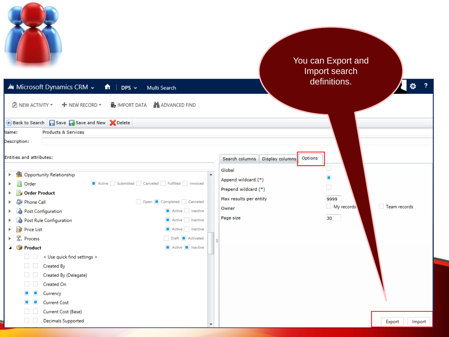| Au Microsoft Dynamics CRM ~<br>俞<br>DPS $\sim$<br>Multi Search<br>ADVANCED FIND<br>D NEW ACTIVITY ▼<br>$+$ NEW RECORD $-$<br><b>B</b> IMPORT DATA |                  |                                              | You can Export and<br>Import search<br>definitions.<br>Ø. |
|---------------------------------------------------------------------------------------------------------------------------------------------------|------------------|----------------------------------------------|-----------------------------------------------------------|
| Back to Search <b>B</b> Save <b>B</b> Save and New <b>C</b> Delete                                                                                |                  |                                              |                                                           |
| Products & Services<br>Vame:<br>Description:                                                                                                      |                  |                                              |                                                           |
|                                                                                                                                                   |                  |                                              |                                                           |
| <b>Entities and attributes:</b>                                                                                                                   |                  | Options<br>Search columns<br>Display columns |                                                           |
|                                                                                                                                                   |                  | Global                                       |                                                           |
| Opportunity Relationship<br><b>Security</b><br>ь.                                                                                                 | $\blacktriangle$ | Append wildcard (*)                          | п                                                         |
| Active Submitted Canceled Fulfilled Invoiced<br>Order                                                                                             |                  | Prepend wildcard (*)                         | $\Box$                                                    |
| <b>Order Product</b><br>Open Completed Canceled<br>Ð<br>Phone Call                                                                                |                  | Max results per entity                       | 9999                                                      |
| Post Configuration<br>Active Inactive                                                                                                             |                  | Owner                                        | Team records<br>My records                                |
| Active Inactive<br>Post Rule Configuration<br>۵                                                                                                   |                  | Page size                                    | 30                                                        |
| Active Inactive<br>Price List                                                                                                                     |                  |                                              |                                                           |
| 뭋<br>Draft <b>Activated</b><br>Process                                                                                                            |                  |                                              |                                                           |
| Active <b>II</b> Inactive<br><b>Product</b>                                                                                                       |                  |                                              |                                                           |
| < Use quick find settings ><br>$\sim$                                                                                                             |                  |                                              |                                                           |
| Created By                                                                                                                                        |                  |                                              |                                                           |
| Created By (Delegate)                                                                                                                             |                  |                                              |                                                           |
| Created On                                                                                                                                        |                  |                                              |                                                           |
| Currency                                                                                                                                          |                  |                                              |                                                           |
| <b>Current Cost</b>                                                                                                                               |                  |                                              |                                                           |
| Current Cost (Base)                                                                                                                               |                  |                                              |                                                           |
| <b>Decimals Supported</b>                                                                                                                         |                  |                                              | Export<br>Import                                          |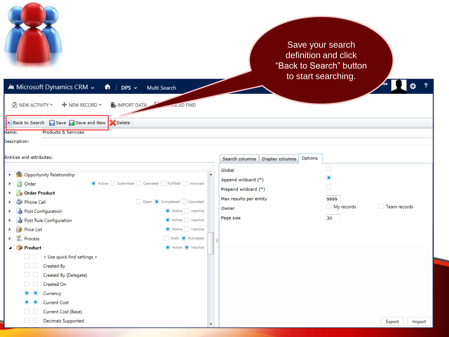

#### Save your search definition and click "Back to Search" button to start searching.

 $\ddot{Q}$  ?

ñа.

H

Mu Microsoft Dynamics CRM ~  $\hat{\mathbf{n}}$  | DPS  $\sim$ Multi Search

| D NEW ACTIVITY ▼<br><b>B</b> IMPORT DATA<br>$+$ NEW RECORD $\star$<br><b>CANCED FIND</b>     |                                              |                            |  |  |  |  |  |
|----------------------------------------------------------------------------------------------|----------------------------------------------|----------------------------|--|--|--|--|--|
| Back to Search   Save   Save and New   X Delete                                              |                                              |                            |  |  |  |  |  |
| Name:<br>Products & Services                                                                 |                                              |                            |  |  |  |  |  |
| Description:                                                                                 |                                              |                            |  |  |  |  |  |
| Entities and attributes:                                                                     | Options<br>Search columns<br>Display columns |                            |  |  |  |  |  |
| <b>All</b>                                                                                   | Global                                       | $\Box$                     |  |  |  |  |  |
| Opportunity Relationship<br>Þ.<br>Ħ<br>Active Submitted Canceled Fulfilled Invoiced<br>Order | Append wildcard (*)                          | П                          |  |  |  |  |  |
| <b>Order Product</b>                                                                         | Prepend wildcard (*)                         | $\Box$                     |  |  |  |  |  |
| Phone Call<br>Open Completed Canceled                                                        | Max results per entity                       | 9999                       |  |  |  |  |  |
| Active Inactive<br>Post Configuration                                                        | Owner                                        | My records<br>Team records |  |  |  |  |  |
| Active Inactive<br>Post Rule Configuration                                                   | Page size                                    | 30                         |  |  |  |  |  |
| Active Inactive<br>I≩<br><b>Price List</b>                                                   |                                              |                            |  |  |  |  |  |
| <sub>B</sub> , Process<br>Draft <b>Activated</b>                                             |                                              |                            |  |  |  |  |  |
| Active <b>II</b> Inactive<br>▲ Product                                                       |                                              |                            |  |  |  |  |  |
| < Use quick find settings >                                                                  |                                              |                            |  |  |  |  |  |
| Created By                                                                                   |                                              |                            |  |  |  |  |  |
| Created By (Delegate)                                                                        |                                              |                            |  |  |  |  |  |
| Created On                                                                                   |                                              |                            |  |  |  |  |  |
| Currency                                                                                     |                                              |                            |  |  |  |  |  |
| <b>Current Cost</b>                                                                          |                                              |                            |  |  |  |  |  |
| Current Cost (Base)                                                                          |                                              |                            |  |  |  |  |  |
| Decimals Supported                                                                           |                                              | Export<br>Import           |  |  |  |  |  |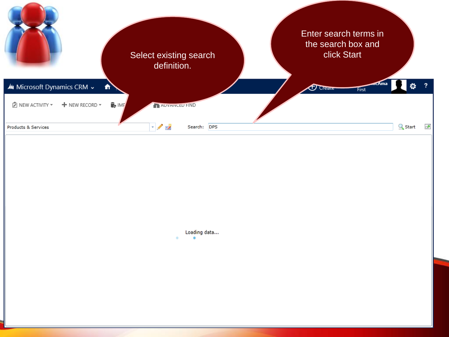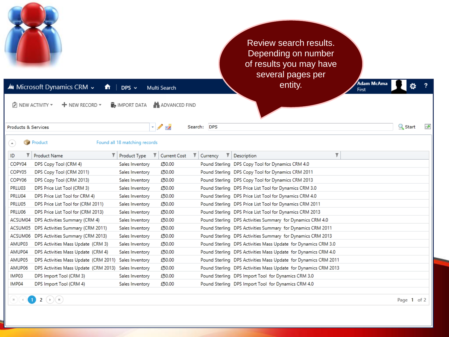

Page 1 of 2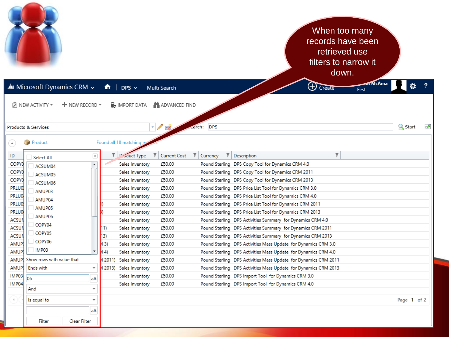|                                                                        |                                                                     | When too many<br>records have been<br>retrieved use<br>filters to narrow it<br>down.    |
|------------------------------------------------------------------------|---------------------------------------------------------------------|-----------------------------------------------------------------------------------------|
| Mu Microsoft Dynamics CRM ~                                            | Ħ.<br>$DPS \sim$<br>Multi Search                                    | m McAma<br>$\bigoplus$ Create<br>First                                                  |
| $ \overline{Z} $ NEW ACTIVITY $\overline{Y}$<br>$+$ NEW RECORD $\star$ | <b>MPORT DATA</b><br>ADVANCED FIND                                  |                                                                                         |
| Products & Services                                                    | $\blacksquare$<br>carch:                                            | <b>Q</b> Start<br>☞<br><b>DPS</b>                                                       |
| Product<br>$\left( \begin{array}{c} \bullet \end{array} \right)$       | Found all 18 matching                                               |                                                                                         |
| ID<br>$\vert x \vert$<br>Select All<br>COPY<br>$\blacktriangle$        | т<br>T Couct Type<br>Current Cost<br>T<br>£50.00<br>Sales Inventory | т<br>т.<br>Currency<br>Description<br>Pound Sterling DPS Copy Tool for Dynamics CRM 4.0 |
| ACSUM04<br><b>COPY</b>                                                 | Sales Inventory<br>£50.00                                           | Pound Sterling DPS Copy Tool for Dynamics CRM 2011                                      |
| ACSUM05<br>COPY                                                        | £50.00<br>Sales Inventory                                           | Pound Sterling DPS Copy Tool for Dynamics CRM 2013                                      |
| ACSUM06<br>PRLUC                                                       | £50.00<br>Sales Inventory                                           | Pound Sterling DPS Price List Tool for Dynamics CRM 3.0                                 |
| AMUP03<br>PRLUC                                                        | £50.00<br>Sales Inventory                                           | Pound Sterling DPS Price List Tool for Dynamics CRM 4.0                                 |
| AMUP04<br>PRLUC                                                        | £50.00<br>Sales Inventory                                           | Pound Sterling DPS Price List Tool for Dynamics CRM 2011                                |
| AMUP05<br>PRLUC                                                        | £50.00<br>Sales Inventory<br>B)                                     | Pound Sterling DPS Price List Tool for Dynamics CRM 2013                                |
| AMUP06<br><b>ACSUI</b>                                                 | £50.00<br>Sales Inventory                                           | Pound Sterling DPS Activities Summary for Dynamics CRM 4.0                              |
| COPY04<br><b>ACSU</b>                                                  | £50.00<br>Sales Inventory<br>[11)                                   | Pound Sterling DPS Activities Summary for Dynamics CRM 2011                             |
| COPY05<br><b>ACSU</b>                                                  | (13)<br>£50.00<br>Sales Inventory                                   | Pound Sterling DPS Activities Summary for Dynamics CRM 2013                             |
| COPY06<br>AMUP                                                         | 43)<br>£50.00<br>Sales Inventory                                    | Pound Sterling DPS Activities Mass Update for Dynamics CRM 3.0                          |
| $\blacksquare$ IMP03<br>$\overline{\mathbf v}$<br><b>AMUP</b>          | (A4)<br>Sales Inventory<br>£50.00                                   | Pound Sterling DPS Activities Mass Update for Dynamics CRM 4.0                          |
| Show rows with value that<br><b>AMUP</b>                               | 4 2011)<br>Sales Inventory<br>£50.00                                | Pound Sterling DPS Activities Mass Update for Dynamics CRM 2011                         |
| <b>Ends with</b><br><b>AMUP</b><br>$\overline{\mathbf{v}}$             | 4 2013) Sales Inventory<br>£50.00                                   | Pound Sterling DPS Activities Mass Update for Dynamics CRM 2013                         |
| IMP03<br>06<br>aA                                                      | £50.00<br>Sales Inventory                                           | Pound Sterling DPS Import Tool for Dynamics CRM 3.0                                     |
| IMP04<br>And<br>$\overline{\phantom{a}}$                               | £50.00<br>Sales Inventory                                           | Pound Sterling DPS Import Tool for Dynamics CRM 4.0                                     |
| $ \cdot $<br>Is equal to<br>$\overline{\mathbf{v}}$                    |                                                                     | Page 1 of 2                                                                             |
| aA                                                                     |                                                                     |                                                                                         |
| Filter<br>Clear Filter                                                 |                                                                     |                                                                                         |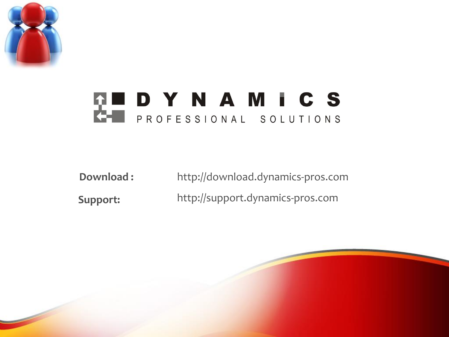

## **THE DYNAMICS**

**Download : Support:** http://support.dynamics-pros.com http://download.dynamics-pros.com